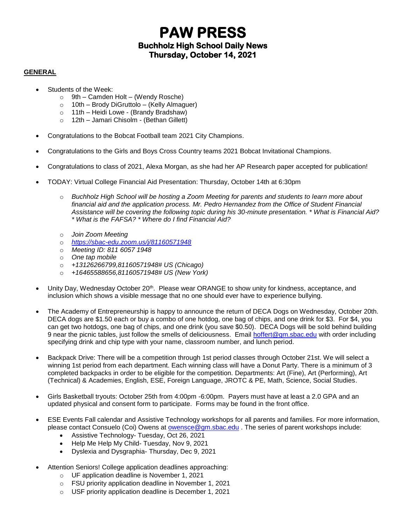## **PAW PRESS Buchholz High School Daily News Thursday, October 14, 2021**

### **GENERAL**

- Students of the Week:
	- $\circ$  9th Camden Holt (Wendy Rosche)
	- o 10th Brody DiGruttolo (Kelly Almaguer)
	- o 11th Heidi Lowe (Brandy Bradshaw)
	- o 12th Jamari Chisolm (Bethan Gillett)
- Congratulations to the Bobcat Football team 2021 City Champions.
- Congratulations to the Girls and Boys Cross Country teams 2021 Bobcat Invitational Champions.
- Congratulations to class of 2021, Alexa Morgan, as she had her AP Research paper accepted for publication!
- TODAY: Virtual College Financial Aid Presentation: Thursday, October 14th at 6:30pm
	- o *Buchholz High School will be hosting a Zoom Meeting for parents and students to learn more about financial aid and the application process. Mr. Pedro Hernandez from the Office of Student Financial Assistance will be covering the following topic during his 30-minute presentation. \* What is Financial Aid? \* What is the FAFSA? \* Where do I find Financial Aid?*
	- o *Join Zoom Meeting*
	- o *<https://sbac-edu.zoom.us/j/81160571948>*
	- o *Meeting ID: 811 6057 1948*
	- o *One tap mobile*
	- o *+13126266799,81160571948# US (Chicago)*
	- o *+16465588656,81160571948# US (New York)*
- Unity Day, Wednesday October 20<sup>th</sup>. Please wear ORANGE to show unity for kindness, acceptance, and inclusion which shows a visible message that no one should ever have to experience bullying.
- The Academy of Entrepreneurship is happy to announce the return of DECA Dogs on Wednesday, October 20th. DECA dogs are \$1.50 each or buy a combo of one hotdog, one bag of chips, and one drink for \$3. For \$4, you can get two hotdogs, one bag of chips, and one drink (you save \$0.50). DECA Dogs will be sold behind building 9 near the picnic tables, just follow the smells of deliciousness. Email [hoffert@gm.sbac.edu](mailto:hoffert@gm.sbac.edu) with order including specifying drink and chip type with your name, classroom number, and lunch period.
- Backpack Drive: There will be a competition through 1st period classes through October 21st. We will select a winning 1st period from each department. Each winning class will have a Donut Party. There is a minimum of 3 completed backpacks in order to be eligible for the competition. Departments: Art (Fine), Art (Performing), Art (Technical) & Academies, English, ESE, Foreign Language, JROTC & PE, Math, Science, Social Studies.
- Girls Basketball tryouts: October 25th from 4:00pm -6:00pm. Payers must have at least a 2.0 GPA and an updated physical and consent form to participate. Forms may be found in the front office.
- ESE Events Fall calendar and Assistive Technology workshops for all parents and families. For more information, please contact Consuelo (Coi) Owens at [owensce@gm.sbac.edu](mailto:owensce@gm.sbac.edu) . The series of parent workshops include:
	- Assistive Technology- Tuesday, Oct 26, 2021
	- Help Me Help My Child- Tuesday, Nov 9, 2021
	- Dyslexia and Dysgraphia- Thursday, Dec 9, 2021
- Attention Seniors! College application deadlines approaching:
	- o UF application deadline is November 1, 2021
	- o FSU priority application deadline in November 1, 2021
	- o USF priority application deadline is December 1, 2021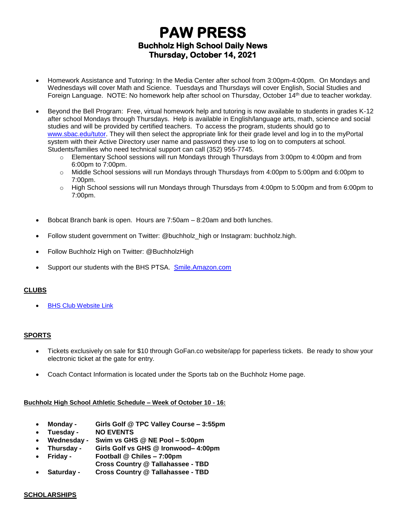# **PAW PRESS Buchholz High School Daily News Thursday, October 14, 2021**

- Homework Assistance and Tutoring: In the Media Center after school from 3:00pm-4:00pm. On Mondays and Wednesdays will cover Math and Science. Tuesdays and Thursdays will cover English, Social Studies and Foreign Language. NOTE: No homework help after school on Thursday, October 14th due to teacher workday.
- Beyond the Bell Program: Free, virtual homework help and tutoring is now available to students in grades K-12 after school Mondays through Thursdays. Help is available in English/language arts, math, science and social studies and will be provided by certified teachers. To access the program, students should go to [www.sbac.edu/tutor.](http://www.sbac.edu/tutor) They will then select the appropriate link for their grade level and log in to the myPortal system with their Active Directory user name and password they use to log on to computers at school. Students/families who need technical support can call (352) 955-7745.
	- $\circ$  Elementary School sessions will run Mondays through Thursdays from 3:00pm to 4:00pm and from 6:00pm to 7:00pm.
	- o Middle School sessions will run Mondays through Thursdays from 4:00pm to 5:00pm and 6:00pm to 7:00pm.
	- $\circ$  High School sessions will run Mondays through Thursdays from 4:00pm to 5:00pm and from 6:00pm to 7:00pm.
- Bobcat Branch bank is open. Hours are 7:50am 8:20am and both lunches.
- Follow student government on Twitter: @buchholz\_high or Instagram: buchholz.high.
- Follow Buchholz High on Twitter: @BuchholzHigh
- Support our students with the BHS PTSA. [Smile.Amazon.com](http://smile.amazon.com/)

### **CLUBS**

**[BHS Club Website Link](https://www.sbac.edu/domain/1650)** 

## **SPORTS**

- Tickets exclusively on sale for \$10 through GoFan.co website/app for paperless tickets. Be ready to show your electronic ticket at the gate for entry.
- Coach Contact Information is located under the Sports tab on the Buchholz Home page.

### **Buchholz High School Athletic Schedule – Week of October 10 - 16:**

- **Monday - Girls Golf @ TPC Valley Course – 3:55pm**
- **Tuesday - NO EVENTS**
- **Wednesday - Swim vs GHS @ NE Pool – 5:00pm**
- **Thursday - Girls Golf vs GHS @ Ironwood– 4:00pm**
- **Friday - Football @ Chiles – 7:00pm**
	- **Cross Country @ Tallahassee - TBD**
- **Saturday - Cross Country @ Tallahassee - TBD**

### **SCHOLARSHIPS**